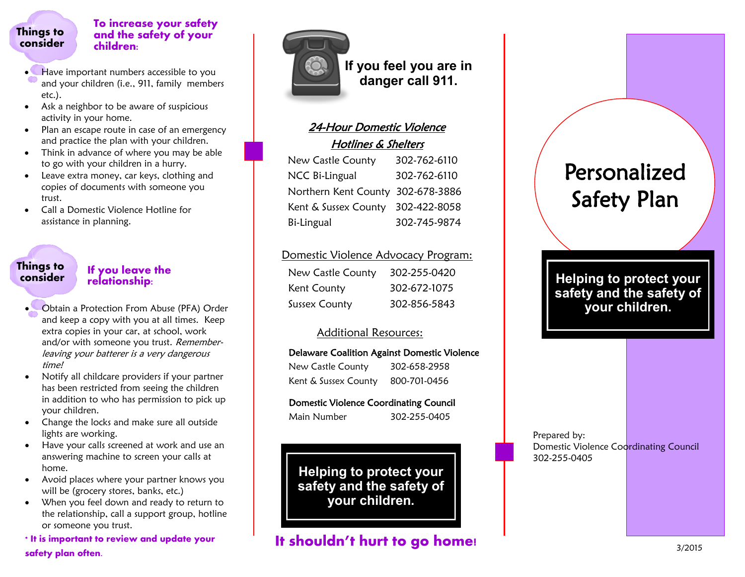#### **Things to consider**

#### **To increase your safety and the safety of your children:**

- Have important numbers accessible to you and your children (i.e., 911, family members etc.).
- Ask a neighbor to be aware of suspicious activity in your home.
- Plan an escape route in case of an emergency and practice the plan with your children.
- Think in advance of where you may be able to go with your children in a hurry.
- Leave extra money, car keys, clothing and copies of documents with someone you trust.
- Call a Domestic Violence Hotline for assistance in planning.

# **Things to**

#### **If you leave the relationship:**

- Obtain a Protection From Abuse (PFA) Order and keep a copy with you at all times. Keep extra copies in your car, at school, work and/or with someone you trust. Rememberleaving your batterer is a very dangerous time!
- Notify all childcare providers if your partner has been restricted from seeing the children in addition to who has permission to pick up your children.
- Change the locks and make sure all outside lights are working.
- Have your calls screened at work and use an answering machine to screen your calls at home.
- Avoid places where your partner knows you will be (grocery stores, banks, etc.)
- When you feel down and ready to return to the relationship, call a support group, hotline or someone you trust.

**\* It is important to review and update your safety plan often.**



**If you feel you are in danger call 911.**

#### 24-Hour Domestic Violence Hotlines & Shelters

| New Castle County                 | 302-762-6110 |
|-----------------------------------|--------------|
| NCC Bi-Lingual                    | 302-762-6110 |
| Northern Kent County 302-678-3886 |              |
| Kent & Sussex County 302-422-8058 |              |
| Bi-Lingual                        | 302-745-9874 |

#### Domestic Violence Advocacy Program:

| New Castle County | 302-255-0420 |
|-------------------|--------------|
| Kent County       | 302-672-1075 |
| Sussex County     | 302-856-5843 |

#### Additional Resources:

#### Delaware Coalition Against Domestic Violence New Castle County 302-658-2958 Kent & Sussex County 800-701-0456

## Domestic Violence Coordinating Council

Main Number 302-255-0405

**Helping to protect your safety and the safety of your children.**

## **It shouldn't hurt to go home!**

## Personalized Safety Plan

**Helping to protect your safety and the safety of your children.**

Prepared by: Domestic Violence Coordinating Council 302-255-0405